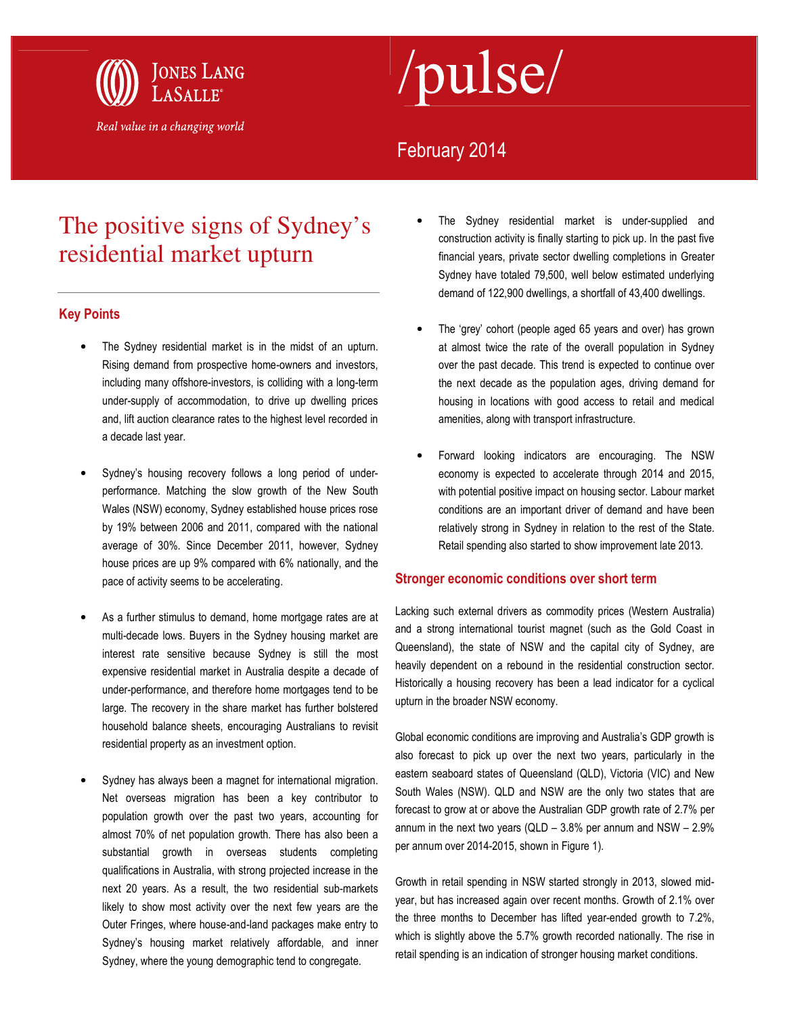

# /pulse/

### February 2014

## The positive signs of Sydney's residential market upturn

#### Key Points

- The Sydney residential market is in the midst of an upturn. Rising demand from prospective home-owners and investors, including many offshore-investors, is colliding with a long-term under-supply of accommodation, to drive up dwelling prices and, lift auction clearance rates to the highest level recorded in a decade last year.
- Sydney's housing recovery follows a long period of underperformance. Matching the slow growth of the New South Wales (NSW) economy, Sydney established house prices rose by 19% between 2006 and 2011, compared with the national average of 30%. Since December 2011, however, Sydney house prices are up 9% compared with 6% nationally, and the pace of activity seems to be accelerating.
- As a further stimulus to demand, home mortgage rates are at multi-decade lows. Buyers in the Sydney housing market are interest rate sensitive because Sydney is still the most expensive residential market in Australia despite a decade of under-performance, and therefore home mortgages tend to be large. The recovery in the share market has further bolstered household balance sheets, encouraging Australians to revisit residential property as an investment option.
- Sydney has always been a magnet for international migration. Net overseas migration has been a key contributor to population growth over the past two years, accounting for almost 70% of net population growth. There has also been a substantial growth in overseas students completing qualifications in Australia, with strong projected increase in the next 20 years. As a result, the two residential sub-markets likely to show most activity over the next few years are the Outer Fringes, where house-and-land packages make entry to Sydney's housing market relatively affordable, and inner Sydney, where the young demographic tend to congregate.
- The Sydney residential market is under-supplied and construction activity is finally starting to pick up. In the past five financial years, private sector dwelling completions in Greater Sydney have totaled 79,500, well below estimated underlying demand of 122,900 dwellings, a shortfall of 43,400 dwellings.
- The 'grey' cohort (people aged 65 years and over) has grown at almost twice the rate of the overall population in Sydney over the past decade. This trend is expected to continue over the next decade as the population ages, driving demand for housing in locations with good access to retail and medical amenities, along with transport infrastructure.
- Forward looking indicators are encouraging. The NSW economy is expected to accelerate through 2014 and 2015, with potential positive impact on housing sector. Labour market conditions are an important driver of demand and have been relatively strong in Sydney in relation to the rest of the State. Retail spending also started to show improvement late 2013.

#### Stronger economic conditions over short term

Lacking such external drivers as commodity prices (Western Australia) and a strong international tourist magnet (such as the Gold Coast in Queensland), the state of NSW and the capital city of Sydney, are heavily dependent on a rebound in the residential construction sector. Historically a housing recovery has been a lead indicator for a cyclical upturn in the broader NSW economy.

Global economic conditions are improving and Australia's GDP growth is also forecast to pick up over the next two years, particularly in the eastern seaboard states of Queensland (QLD), Victoria (VIC) and New South Wales (NSW). QLD and NSW are the only two states that are forecast to grow at or above the Australian GDP growth rate of 2.7% per annum in the next two years (QLD – 3.8% per annum and NSW – 2.9% per annum over 2014-2015, shown in Figure 1).

Growth in retail spending in NSW started strongly in 2013, slowed midyear, but has increased again over recent months. Growth of 2.1% over the three months to December has lifted year-ended growth to 7.2%, which is slightly above the 5.7% growth recorded nationally. The rise in retail spending is an indication of stronger housing market conditions.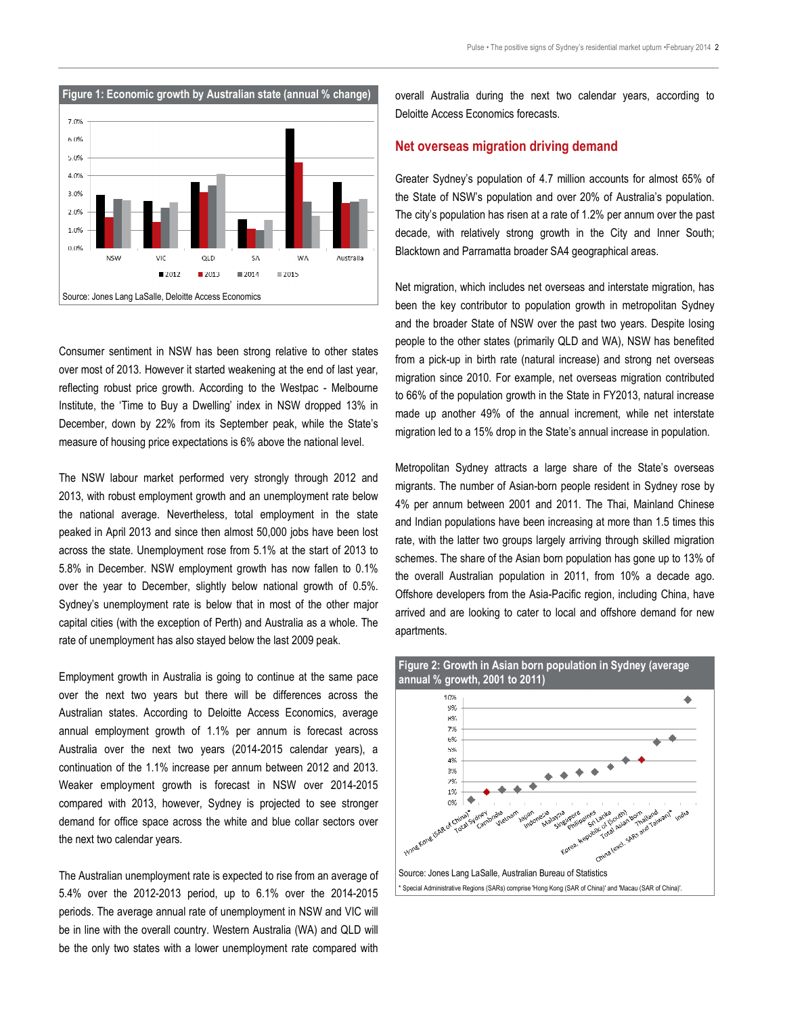

Consumer sentiment in NSW has been strong relative to other states over most of 2013. However it started weakening at the end of last year, reflecting robust price growth. According to the Westpac - Melbourne Institute, the 'Time to Buy a Dwelling' index in NSW dropped 13% in December, down by 22% from its September peak, while the State's measure of housing price expectations is 6% above the national level.

The NSW labour market performed very strongly through 2012 and 2013, with robust employment growth and an unemployment rate below the national average. Nevertheless, total employment in the state peaked in April 2013 and since then almost 50,000 jobs have been lost across the state. Unemployment rose from 5.1% at the start of 2013 to 5.8% in December. NSW employment growth has now fallen to 0.1% over the year to December, slightly below national growth of 0.5%. Sydney's unemployment rate is below that in most of the other major capital cities (with the exception of Perth) and Australia as a whole. The rate of unemployment has also stayed below the last 2009 peak.

Employment growth in Australia is going to continue at the same pace over the next two years but there will be differences across the Australian states. According to Deloitte Access Economics, average annual employment growth of 1.1% per annum is forecast across Australia over the next two years (2014-2015 calendar years), a continuation of the 1.1% increase per annum between 2012 and 2013. Weaker employment growth is forecast in NSW over 2014-2015 compared with 2013, however, Sydney is projected to see stronger demand for office space across the white and blue collar sectors over the next two calendar years.

The Australian unemployment rate is expected to rise from an average of 5.4% over the 2012-2013 period, up to 6.1% over the 2014-2015 periods. The average annual rate of unemployment in NSW and VIC will be in line with the overall country. Western Australia (WA) and QLD will be the only two states with a lower unemployment rate compared with

overall Australia during the next two calendar years, according to Deloitte Access Economics forecasts.

#### Net overseas migration driving demand

Greater Sydney's population of 4.7 million accounts for almost 65% of the State of NSW's population and over 20% of Australia's population. The city's population has risen at a rate of 1.2% per annum over the past decade, with relatively strong growth in the City and Inner South; Blacktown and Parramatta broader SA4 geographical areas.

Net migration, which includes net overseas and interstate migration, has been the key contributor to population growth in metropolitan Sydney and the broader State of NSW over the past two years. Despite losing people to the other states (primarily QLD and WA), NSW has benefited from a pick-up in birth rate (natural increase) and strong net overseas migration since 2010. For example, net overseas migration contributed to 66% of the population growth in the State in FY2013, natural increase made up another 49% of the annual increment, while net interstate migration led to a 15% drop in the State's annual increase in population.

Metropolitan Sydney attracts a large share of the State's overseas migrants. The number of Asian-born people resident in Sydney rose by 4% per annum between 2001 and 2011. The Thai, Mainland Chinese and Indian populations have been increasing at more than 1.5 times this rate, with the latter two groups largely arriving through skilled migration schemes. The share of the Asian born population has gone up to 13% of the overall Australian population in 2011, from 10% a decade ago. Offshore developers from the Asia-Pacific region, including China, have arrived and are looking to cater to local and offshore demand for new apartments.

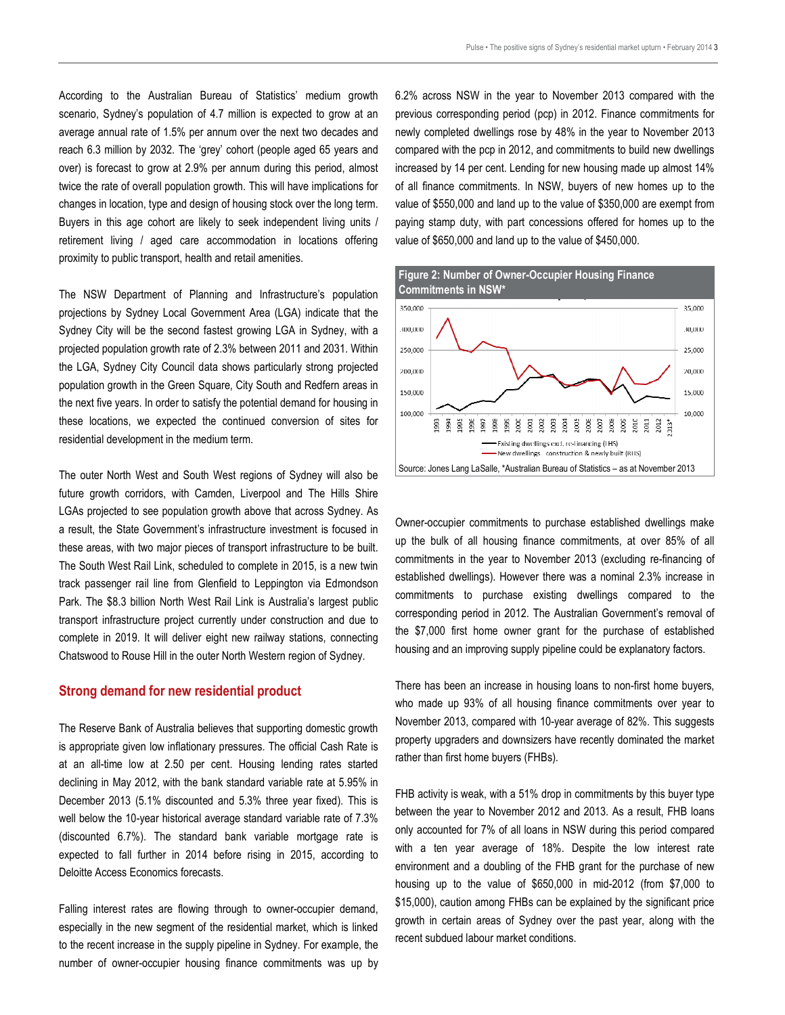According to the Australian Bureau of Statistics' medium growth scenario, Sydney's population of 4.7 million is expected to grow at an average annual rate of 1.5% per annum over the next two decades and reach 6.3 million by 2032. The 'grey' cohort (people aged 65 years and over) is forecast to grow at 2.9% per annum during this period, almost twice the rate of overall population growth. This will have implications for changes in location, type and design of housing stock over the long term. Buyers in this age cohort are likely to seek independent living units / retirement living / aged care accommodation in locations offering proximity to public transport, health and retail amenities.

The NSW Department of Planning and Infrastructure's population projections by Sydney Local Government Area (LGA) indicate that the Sydney City will be the second fastest growing LGA in Sydney, with a projected population growth rate of 2.3% between 2011 and 2031. Within the LGA, Sydney City Council data shows particularly strong projected population growth in the Green Square, City South and Redfern areas in the next five years. In order to satisfy the potential demand for housing in these locations, we expected the continued conversion of sites for residential development in the medium term.

The outer North West and South West regions of Sydney will also be future growth corridors, with Camden, Liverpool and The Hills Shire LGAs projected to see population growth above that across Sydney. As a result, the State Government's infrastructure investment is focused in these areas, with two major pieces of transport infrastructure to be built. The South West Rail Link, scheduled to complete in 2015, is a new twin track passenger rail line from Glenfield to Leppington via Edmondson Park. The \$8.3 billion North West Rail Link is Australia's largest public transport infrastructure project currently under construction and due to complete in 2019. It will deliver eight new railway stations, connecting Chatswood to Rouse Hill in the outer North Western region of Sydney.

#### Strong demand for new residential product

The Reserve Bank of Australia believes that supporting domestic growth is appropriate given low inflationary pressures. The official Cash Rate is at an all-time low at 2.50 per cent. Housing lending rates started declining in May 2012, with the bank standard variable rate at 5.95% in December 2013 (5.1% discounted and 5.3% three year fixed). This is well below the 10-year historical average standard variable rate of 7.3% (discounted 6.7%). The standard bank variable mortgage rate is expected to fall further in 2014 before rising in 2015, according to Deloitte Access Economics forecasts.

Falling interest rates are flowing through to owner-occupier demand, especially in the new segment of the residential market, which is linked to the recent increase in the supply pipeline in Sydney. For example, the number of owner-occupier housing finance commitments was up by 6.2% across NSW in the year to November 2013 compared with the previous corresponding period (pcp) in 2012. Finance commitments for newly completed dwellings rose by 48% in the year to November 2013 compared with the pcp in 2012, and commitments to build new dwellings increased by 14 per cent. Lending for new housing made up almost 14% of all finance commitments. In NSW, buyers of new homes up to the value of \$550,000 and land up to the value of \$350,000 are exempt from paying stamp duty, with part concessions offered for homes up to the value of \$650,000 and land up to the value of \$450,000.



Owner-occupier commitments to purchase established dwellings make up the bulk of all housing finance commitments, at over 85% of all commitments in the year to November 2013 (excluding re-financing of established dwellings). However there was a nominal 2.3% increase in commitments to purchase existing dwellings compared to the corresponding period in 2012. The Australian Government's removal of the \$7,000 first home owner grant for the purchase of established housing and an improving supply pipeline could be explanatory factors.

There has been an increase in housing loans to non-first home buyers, who made up 93% of all housing finance commitments over year to November 2013, compared with 10-year average of 82%. This suggests property upgraders and downsizers have recently dominated the market rather than first home buyers (FHBs).

FHB activity is weak, with a 51% drop in commitments by this buyer type between the year to November 2012 and 2013. As a result, FHB loans only accounted for 7% of all loans in NSW during this period compared with a ten year average of 18%. Despite the low interest rate environment and a doubling of the FHB grant for the purchase of new housing up to the value of \$650,000 in mid-2012 (from \$7,000 to \$15,000), caution among FHBs can be explained by the significant price growth in certain areas of Sydney over the past year, along with the recent subdued labour market conditions.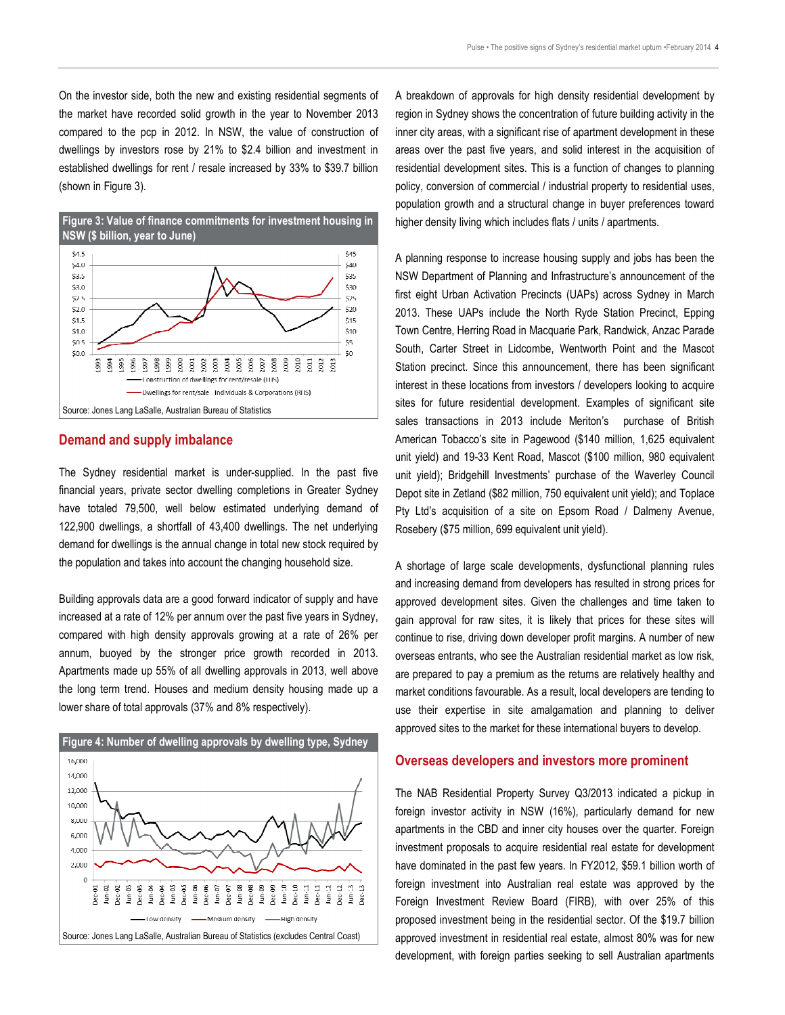On the investor side, both the new and existing residential segments of the market have recorded solid growth in the year to November 2013 compared to the pcp in 2012. In NSW, the value of construction of dwellings by investors rose by 21% to \$2.4 billion and investment in established dwellings for rent / resale increased by 33% to \$39.7 billion (shown in Figure 3).



#### Demand and supply imbalance

The Sydney residential market is under-supplied. In the past five financial years, private sector dwelling completions in Greater Sydney have totaled 79,500, well below estimated underlying demand of 122,900 dwellings, a shortfall of 43,400 dwellings. The net underlying demand for dwellings is the annual change in total new stock required by the population and takes into account the changing household size.

Building approvals data are a good forward indicator of supply and have increased at a rate of 12% per annum over the past five years in Sydney, compared with high density approvals growing at a rate of 26% per annum, buoyed by the stronger price growth recorded in 2013. Apartments made up 55% of all dwelling approvals in 2013, well above the long term trend. Houses and medium density housing made up a lower share of total approvals (37% and 8% respectively).



A breakdown of approvals for high density residential development by region in Sydney shows the concentration of future building activity in the inner city areas, with a significant rise of apartment development in these areas over the past five years, and solid interest in the acquisition of residential development sites. This is a function of changes to planning policy, conversion of commercial / industrial property to residential uses, population growth and a structural change in buyer preferences toward higher density living which includes flats / units / apartments.

A planning response to increase housing supply and jobs has been the NSW Department of Planning and Infrastructure's announcement of the first eight Urban Activation Precincts (UAPs) across Sydney in March 2013. These UAPs include the North Ryde Station Precinct, Epping Town Centre, Herring Road in Macquarie Park, Randwick, Anzac Parade South, Carter Street in Lidcombe, Wentworth Point and the Mascot Station precinct. Since this announcement, there has been significant interest in these locations from investors / developers looking to acquire sites for future residential development. Examples of significant site sales transactions in 2013 include Meriton's purchase of British American Tobacco's site in Pagewood (\$140 million, 1,625 equivalent unit yield) and 19-33 Kent Road, Mascot (\$100 million, 980 equivalent unit yield); Bridgehill Investments' purchase of the Waverley Council Depot site in Zetland (\$82 million, 750 equivalent unit yield); and Toplace Pty Ltd's acquisition of a site on Epsom Road / Dalmeny Avenue, Rosebery (\$75 million, 699 equivalent unit yield).

A shortage of large scale developments, dysfunctional planning rules and increasing demand from developers has resulted in strong prices for approved development sites. Given the challenges and time taken to gain approval for raw sites, it is likely that prices for these sites will continue to rise, driving down developer profit margins. A number of new overseas entrants, who see the Australian residential market as low risk, are prepared to pay a premium as the returns are relatively healthy and market conditions favourable. As a result, local developers are tending to use their expertise in site amalgamation and planning to deliver approved sites to the market for these international buyers to develop.

#### Overseas developers and investors more prominent

The NAB Residential Property Survey Q3/2013 indicated a pickup in foreign investor activity in NSW (16%), particularly demand for new apartments in the CBD and inner city houses over the quarter. Foreign investment proposals to acquire residential real estate for development have dominated in the past few years. In FY2012, \$59.1 billion worth of foreign investment into Australian real estate was approved by the Foreign Investment Review Board (FIRB), with over 25% of this proposed investment being in the residential sector. Of the \$19.7 billion approved investment in residential real estate, almost 80% was for new development, with foreign parties seeking to sell Australian apartments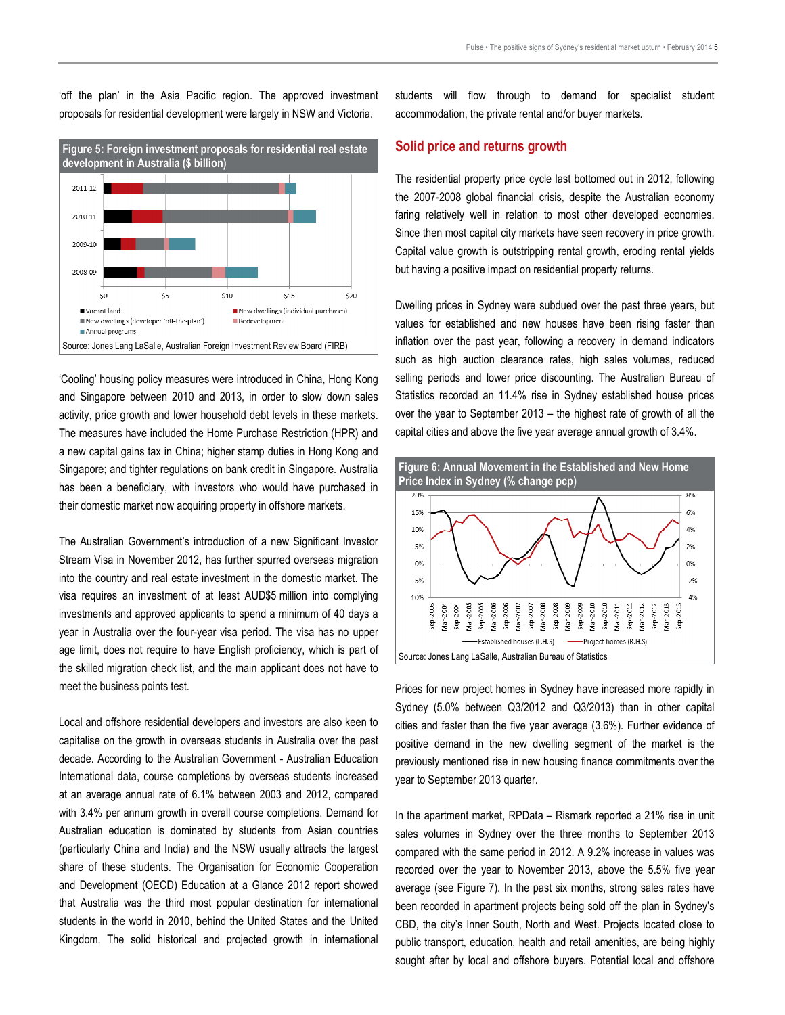'off the plan' in the Asia Pacific region. The approved investment proposals for residential development were largely in NSW and Victoria.



'Cooling' housing policy measures were introduced in China, Hong Kong and Singapore between 2010 and 2013, in order to slow down sales activity, price growth and lower household debt levels in these markets. The measures have included the Home Purchase Restriction (HPR) and a new capital gains tax in China; higher stamp duties in Hong Kong and Singapore; and tighter regulations on bank credit in Singapore. Australia has been a beneficiary, with investors who would have purchased in their domestic market now acquiring property in offshore markets.

The Australian Government's introduction of a new Significant Investor Stream Visa in November 2012, has further spurred overseas migration into the country and real estate investment in the domestic market. The visa requires an investment of at least AUD\$5 million into complying investments and approved applicants to spend a minimum of 40 days a year in Australia over the four-year visa period. The visa has no upper age limit, does not require to have English proficiency, which is part of the skilled migration check list, and the main applicant does not have to meet the business points test.

Local and offshore residential developers and investors are also keen to capitalise on the growth in overseas students in Australia over the past decade. According to the Australian Government - Australian Education International data, course completions by overseas students increased at an average annual rate of 6.1% between 2003 and 2012, compared with 3.4% per annum growth in overall course completions. Demand for Australian education is dominated by students from Asian countries (particularly China and India) and the NSW usually attracts the largest share of these students. The Organisation for Economic Cooperation and Development (OECD) Education at a Glance 2012 report showed that Australia was the third most popular destination for international students in the world in 2010, behind the United States and the United Kingdom. The solid historical and projected growth in international

students will flow through to demand for specialist student accommodation, the private rental and/or buyer markets.

#### Solid price and returns growth

The residential property price cycle last bottomed out in 2012, following the 2007-2008 global financial crisis, despite the Australian economy faring relatively well in relation to most other developed economies. Since then most capital city markets have seen recovery in price growth. Capital value growth is outstripping rental growth, eroding rental yields but having a positive impact on residential property returns.

Dwelling prices in Sydney were subdued over the past three years, but values for established and new houses have been rising faster than inflation over the past year, following a recovery in demand indicators such as high auction clearance rates, high sales volumes, reduced selling periods and lower price discounting. The Australian Bureau of Statistics recorded an 11.4% rise in Sydney established house prices over the year to September 2013 – the highest rate of growth of all the capital cities and above the five year average annual growth of 3.4%.



Prices for new project homes in Sydney have increased more rapidly in Sydney (5.0% between Q3/2012 and Q3/2013) than in other capital cities and faster than the five year average (3.6%). Further evidence of positive demand in the new dwelling segment of the market is the previously mentioned rise in new housing finance commitments over the year to September 2013 quarter.

In the apartment market, RPData – Rismark reported a 21% rise in unit sales volumes in Sydney over the three months to September 2013 compared with the same period in 2012. A 9.2% increase in values was recorded over the year to November 2013, above the 5.5% five year average (see Figure 7). In the past six months, strong sales rates have been recorded in apartment projects being sold off the plan in Sydney's CBD, the city's Inner South, North and West. Projects located close to public transport, education, health and retail amenities, are being highly sought after by local and offshore buyers. Potential local and offshore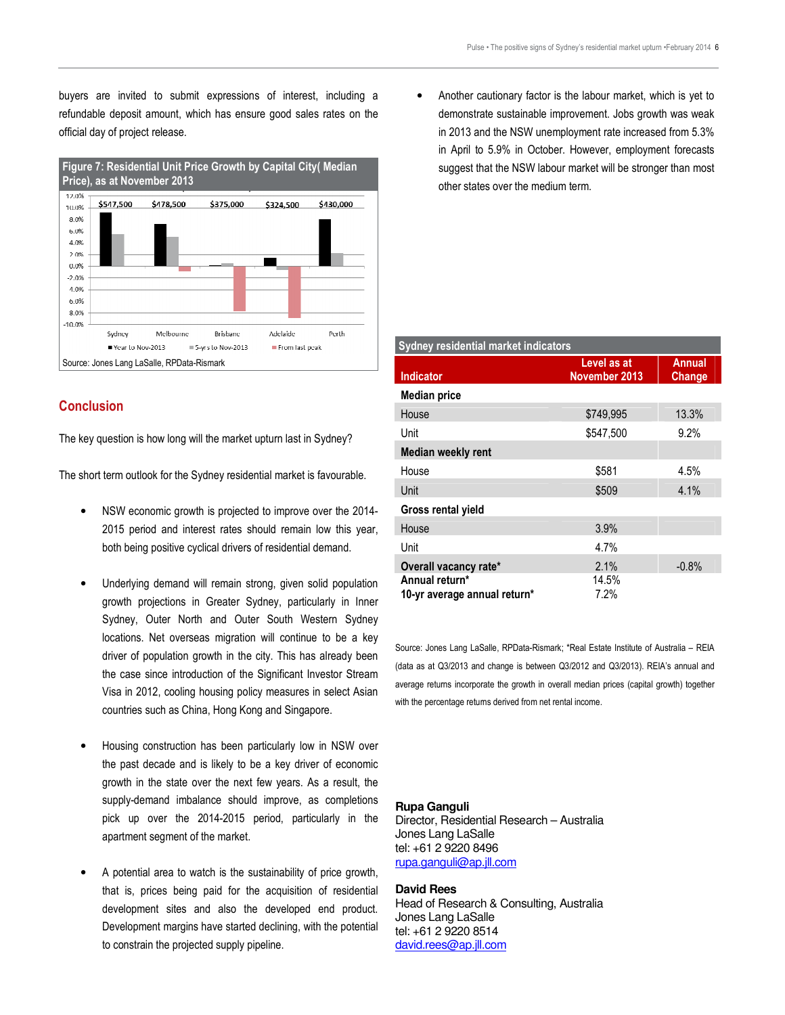buyers are invited to submit expressions of interest, including a refundable deposit amount, which has ensure good sales rates on the official day of project release.



#### **Conclusion**

The key question is how long will the market upturn last in Sydney?

The short term outlook for the Sydney residential market is favourable.

- NSW economic growth is projected to improve over the 2014- 2015 period and interest rates should remain low this year, both being positive cyclical drivers of residential demand.
- Underlying demand will remain strong, given solid population growth projections in Greater Sydney, particularly in Inner Sydney, Outer North and Outer South Western Sydney locations. Net overseas migration will continue to be a key driver of population growth in the city. This has already been the case since introduction of the Significant Investor Stream Visa in 2012, cooling housing policy measures in select Asian countries such as China, Hong Kong and Singapore.
- Housing construction has been particularly low in NSW over the past decade and is likely to be a key driver of economic growth in the state over the next few years. As a result, the supply-demand imbalance should improve, as completions pick up over the 2014-2015 period, particularly in the apartment segment of the market.
- A potential area to watch is the sustainability of price growth, that is, prices being paid for the acquisition of residential development sites and also the developed end product. Development margins have started declining, with the potential to constrain the projected supply pipeline.

• Another cautionary factor is the labour market, which is yet to demonstrate sustainable improvement. Jobs growth was weak in 2013 and the NSW unemployment rate increased from 5.3% in April to 5.9% in October. However, employment forecasts suggest that the NSW labour market will be stronger than most other states over the medium term.

| Sydney residential market indicators |                              |                         |
|--------------------------------------|------------------------------|-------------------------|
| Indicator                            | Level as at<br>November 2013 | <b>Annual</b><br>Change |
| <b>Median price</b>                  |                              |                         |
| House                                | \$749,995                    | 13.3%                   |
| Unit                                 | \$547.500                    | 9.2%                    |
| <b>Median weekly rent</b>            |                              |                         |
| House                                | \$581                        | 4.5%                    |
| Unit                                 | \$509                        | 4.1%                    |
| Gross rental yield                   |                              |                         |
| House                                | 3.9%                         |                         |
| Unit                                 | 4.7%                         |                         |
| Overall vacancy rate*                | 2.1%                         | $-0.8%$                 |
| Annual return*                       | 14.5%                        |                         |
| 10-yr average annual return*         | 7.2%                         |                         |

Source: Jones Lang LaSalle, RPData-Rismark; \*Real Estate Institute of Australia – REIA (data as at Q3/2013 and change is between Q3/2012 and Q3/2013). REIA's annual and average returns incorporate the growth in overall median prices (capital growth) together with the percentage returns derived from net rental income.

#### **Rupa Ganguli**

Director, Residential Research – Australia Jones Lang LaSalle tel: +61 2 9220 8496 rupa.ganguli@ap.jll.com

#### **David Rees**

Head of Research & Consulting, Australia Jones Lang LaSalle tel: +61 2 9220 8514 david.rees@ap.jll.com